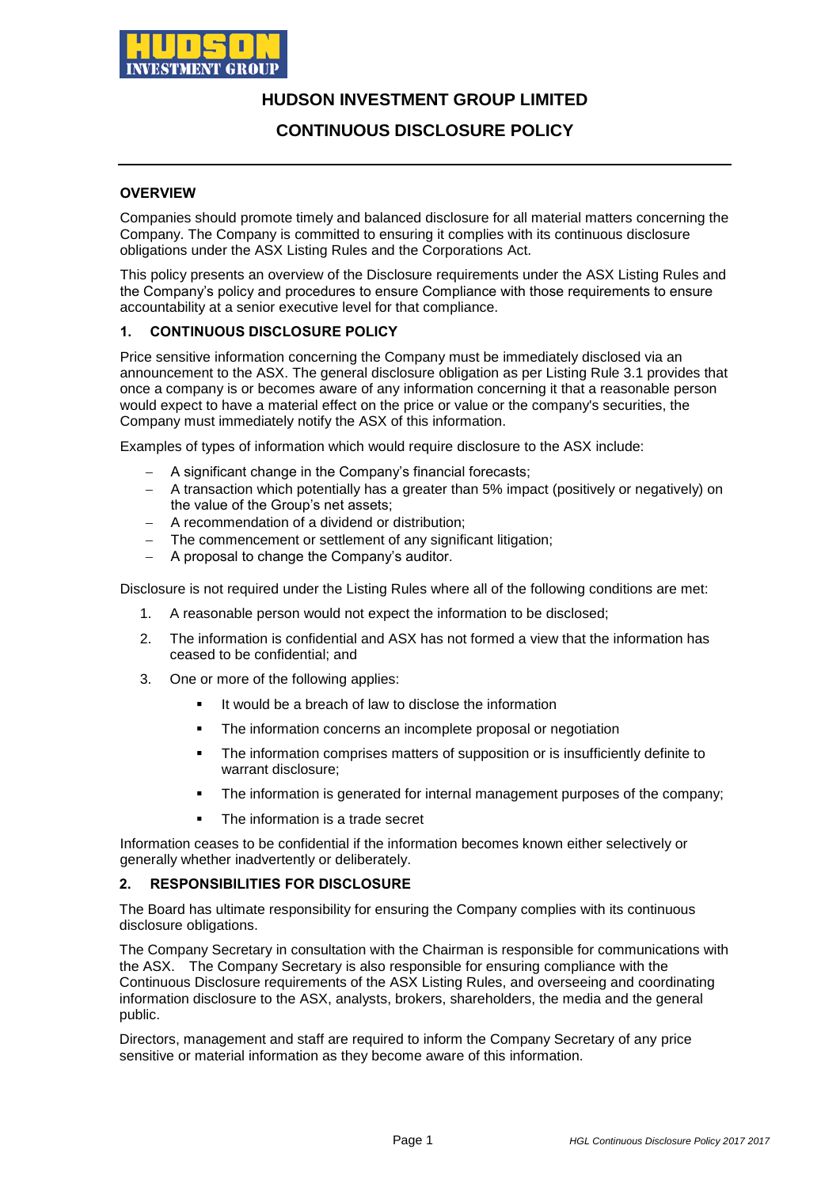

## **HUDSON INVESTMENT GROUP LIMITED**

## **CONTINUOUS DISCLOSURE POLICY**

### **OVERVIEW**

Companies should promote timely and balanced disclosure for all material matters concerning the Company. The Company is committed to ensuring it complies with its continuous disclosure obligations under the ASX Listing Rules and the Corporations Act.

This policy presents an overview of the Disclosure requirements under the ASX Listing Rules and the Company's policy and procedures to ensure Compliance with those requirements to ensure accountability at a senior executive level for that compliance.

### **1. CONTINUOUS DISCLOSURE POLICY**

Price sensitive information concerning the Company must be immediately disclosed via an announcement to the ASX. The general disclosure obligation as per Listing Rule 3.1 provides that once a company is or becomes aware of any information concerning it that a reasonable person would expect to have a material effect on the price or value or the company's securities, the Company must immediately notify the ASX of this information.

Examples of types of information which would require disclosure to the ASX include:

- A significant change in the Company's financial forecasts;
- A transaction which potentially has a greater than 5% impact (positively or negatively) on the value of the Group's net assets;
- A recommendation of a dividend or distribution;
- The commencement or settlement of any significant litigation;
- A proposal to change the Company's auditor.

Disclosure is not required under the Listing Rules where all of the following conditions are met:

- 1. A reasonable person would not expect the information to be disclosed;
- 2. The information is confidential and ASX has not formed a view that the information has ceased to be confidential; and
- 3. One or more of the following applies:
	- It would be a breach of law to disclose the information
	- **The information concerns an incomplete proposal or negotiation**
	- The information comprises matters of supposition or is insufficiently definite to warrant disclosure;
	- The information is generated for internal management purposes of the company;
	- The information is a trade secret

Information ceases to be confidential if the information becomes known either selectively or generally whether inadvertently or deliberately.

### **2. RESPONSIBILITIES FOR DISCLOSURE**

The Board has ultimate responsibility for ensuring the Company complies with its continuous disclosure obligations.

The Company Secretary in consultation with the Chairman is responsible for communications with the ASX. The Company Secretary is also responsible for ensuring compliance with the Continuous Disclosure requirements of the ASX Listing Rules, and overseeing and coordinating information disclosure to the ASX, analysts, brokers, shareholders, the media and the general public.

Directors, management and staff are required to inform the Company Secretary of any price sensitive or material information as they become aware of this information.